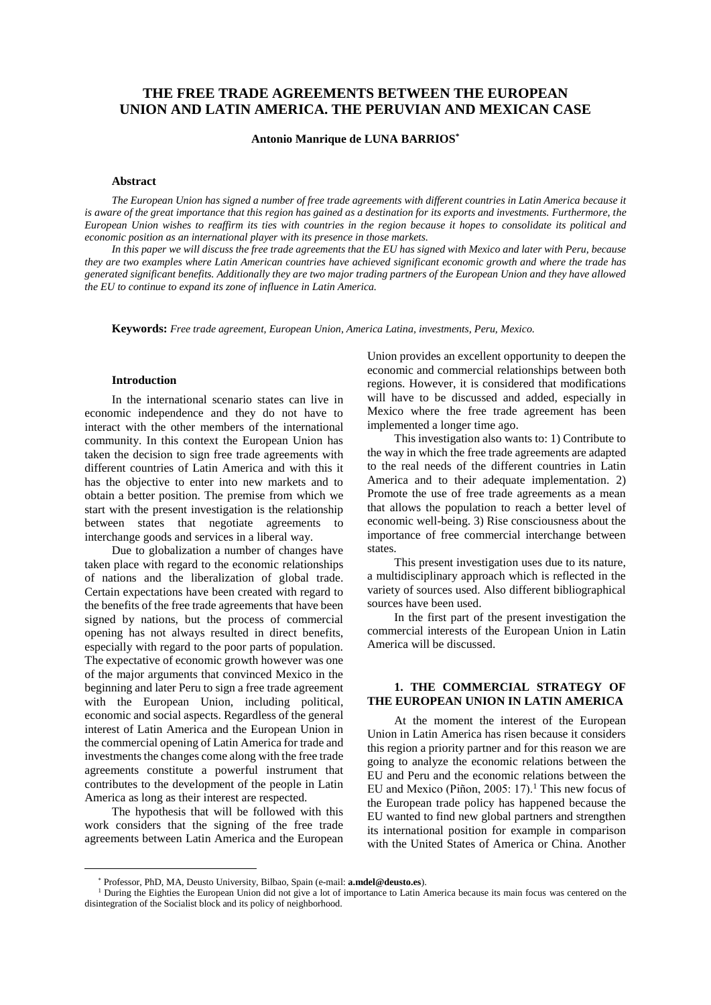# **THE FREE TRADE AGREEMENTS BETWEEN THE EUROPEAN UNION AND LATIN AMERICA. THE PERUVIAN AND MEXICAN CASE**

#### **Antonio Manrique de LUNA BARRIOS\***

#### **Abstract**

*The European Union has signed a number of free trade agreements with different countries in Latin America because it*  is aware of the great importance that this region has gained as a destination for its exports and investments. Furthermore, the *European Union wishes to reaffirm its ties with countries in the region because it hopes to consolidate its political and economic position as an international player with its presence in those markets.* 

*In this paper we will discuss the free trade agreements that the EU has signed with Mexico and later with Peru, because they are two examples where Latin American countries have achieved significant economic growth and where the trade has generated significant benefits. Additionally they are two major trading partners of the European Union and they have allowed the EU to continue to expand its zone of influence in Latin America.*

**Keywords:** *Free trade agreement, European Union, America Latina, investments, Peru, Mexico.*

#### **Introduction**

In the international scenario states can live in economic independence and they do not have to interact with the other members of the international community. In this context the European Union has taken the decision to sign free trade agreements with different countries of Latin America and with this it has the objective to enter into new markets and to obtain a better position. The premise from which we start with the present investigation is the relationship between states that negotiate agreements to interchange goods and services in a liberal way.

Due to globalization a number of changes have taken place with regard to the economic relationships of nations and the liberalization of global trade. Certain expectations have been created with regard to the benefits of the free trade agreements that have been signed by nations, but the process of commercial opening has not always resulted in direct benefits, especially with regard to the poor parts of population. The expectative of economic growth however was one of the major arguments that convinced Mexico in the beginning and later Peru to sign a free trade agreement with the European Union, including political, economic and social aspects. Regardless of the general interest of Latin America and the European Union in the commercial opening of Latin America for trade and investments the changes come along with the free trade agreements constitute a powerful instrument that contributes to the development of the people in Latin America as long as their interest are respected.

The hypothesis that will be followed with this work considers that the signing of the free trade agreements between Latin America and the European

 $\overline{a}$ 

Union provides an excellent opportunity to deepen the economic and commercial relationships between both regions. However, it is considered that modifications will have to be discussed and added, especially in Mexico where the free trade agreement has been implemented a longer time ago.

This investigation also wants to: 1) Contribute to the way in which the free trade agreements are adapted to the real needs of the different countries in Latin America and to their adequate implementation. 2) Promote the use of free trade agreements as a mean that allows the population to reach a better level of economic well-being. 3) Rise consciousness about the importance of free commercial interchange between states.

This present investigation uses due to its nature, a multidisciplinary approach which is reflected in the variety of sources used. Also different bibliographical sources have been used.

In the first part of the present investigation the commercial interests of the European Union in Latin America will be discussed.

## **1. THE COMMERCIAL STRATEGY OF THE EUROPEAN UNION IN LATIN AMERICA**

At the moment the interest of the European Union in Latin America has risen because it considers this region a priority partner and for this reason we are going to analyze the economic relations between the EU and Peru and the economic relations between the EU and Mexico (Piñon, 2005: 17).<sup>1</sup> This new focus of the European trade policy has happened because the EU wanted to find new global partners and strengthen its international position for example in comparison with the United States of America or China. Another

Professor, PhD, MA, Deusto University, Bilbao, Spain (e-mail: **a.mdel@deusto.es**).

<sup>&</sup>lt;sup>1</sup> During the Eighties the European Union did not give a lot of importance to Latin America because its main focus was centered on the disintegration of the Socialist block and its policy of neighborhood.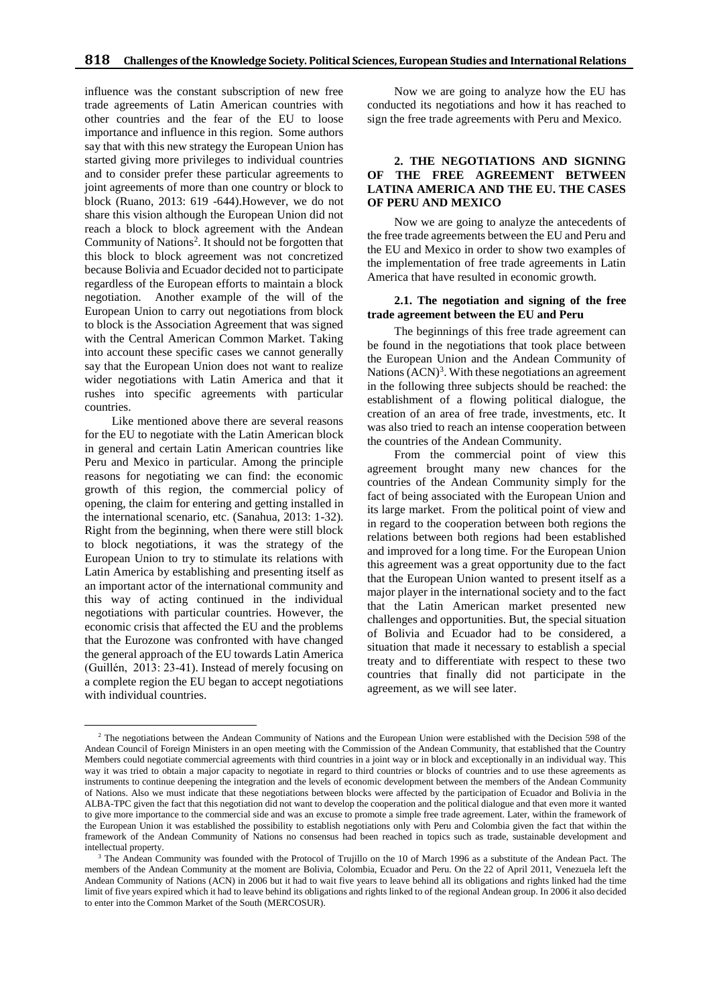influence was the constant subscription of new free trade agreements of Latin American countries with other countries and the fear of the EU to loose importance and influence in this region. Some authors say that with this new strategy the European Union has started giving more privileges to individual countries and to consider prefer these particular agreements to joint agreements of more than one country or block to block (Ruano, 2013: 619 -644).However, we do not share this vision although the European Union did not reach a block to block agreement with the Andean Community of Nations<sup>2</sup>. It should not be forgotten that this block to block agreement was not concretized because Bolivia and Ecuador decided not to participate regardless of the European efforts to maintain a block negotiation. Another example of the will of the European Union to carry out negotiations from block to block is the Association Agreement that was signed with the Central American Common Market. Taking into account these specific cases we cannot generally say that the European Union does not want to realize wider negotiations with Latin America and that it rushes into specific agreements with particular countries.

Like mentioned above there are several reasons for the EU to negotiate with the Latin American block in general and certain Latin American countries like Peru and Mexico in particular. Among the principle reasons for negotiating we can find: the economic growth of this region, the commercial policy of opening, the claim for entering and getting installed in the international scenario, etc. (Sanahua, 2013: 1-32). Right from the beginning, when there were still block to block negotiations, it was the strategy of the European Union to try to stimulate its relations with Latin America by establishing and presenting itself as an important actor of the international community and this way of acting continued in the individual negotiations with particular countries. However, the economic crisis that affected the EU and the problems that the Eurozone was confronted with have changed the general approach of the EU towards Latin America (Guillén, 2013: 23-41). Instead of merely focusing on a complete region the EU began to accept negotiations with individual countries.

Now we are going to analyze how the EU has conducted its negotiations and how it has reached to sign the free trade agreements with Peru and Mexico.

## **2. THE NEGOTIATIONS AND SIGNING OF THE FREE AGREEMENT BETWEEN LATINA AMERICA AND THE EU. THE CASES OF PERU AND MEXICO**

Now we are going to analyze the antecedents of the free trade agreements between the EU and Peru and the EU and Mexico in order to show two examples of the implementation of free trade agreements in Latin America that have resulted in economic growth.

#### **2.1. The negotiation and signing of the free trade agreement between the EU and Peru**

The beginnings of this free trade agreement can be found in the negotiations that took place between the European Union and the Andean Community of Nations  $(ACN)^3$ . With these negotiations an agreement in the following three subjects should be reached: the establishment of a flowing political dialogue, the creation of an area of free trade, investments, etc. It was also tried to reach an intense cooperation between the countries of the Andean Community.

From the commercial point of view this agreement brought many new chances for the countries of the Andean Community simply for the fact of being associated with the European Union and its large market. From the political point of view and in regard to the cooperation between both regions the relations between both regions had been established and improved for a long time. For the European Union this agreement was a great opportunity due to the fact that the European Union wanted to present itself as a major player in the international society and to the fact that the Latin American market presented new challenges and opportunities. But, the special situation of Bolivia and Ecuador had to be considered, a situation that made it necessary to establish a special treaty and to differentiate with respect to these two countries that finally did not participate in the agreement, as we will see later.

 $\overline{a}$ <sup>2</sup> The negotiations between the Andean Community of Nations and the European Union were established with the Decision 598 of the Andean Council of Foreign Ministers in an open meeting with the Commission of the Andean Community, that established that the Country Members could negotiate commercial agreements with third countries in a joint way or in block and exceptionally in an individual way. This way it was tried to obtain a major capacity to negotiate in regard to third countries or blocks of countries and to use these agreements as instruments to continue deepening the integration and the levels of economic development between the members of the Andean Community of Nations. Also we must indicate that these negotiations between blocks were affected by the participation of Ecuador and Bolivia in the ALBA-TPC given the fact that this negotiation did not want to develop the cooperation and the political dialogue and that even more it wanted to give more importance to the commercial side and was an excuse to promote a simple free trade agreement. Later, within the framework of the European Union it was established the possibility to establish negotiations only with Peru and Colombia given the fact that within the framework of the Andean Community of Nations no consensus had been reached in topics such as trade, sustainable development and intellectual property.

<sup>3</sup> The Andean Community was founded with the Protocol of Trujillo on the 10 of March 1996 as a substitute of the Andean Pact. The members of the Andean Community at the moment are Bolivia, Colombia, Ecuador and Peru. On the 22 of April 2011, Venezuela left the Andean Community of Nations (ACN) in 2006 but it had to wait five years to leave behind all its obligations and rights linked had the time limit of five years expired which it had to leave behind its obligations and rights linked to of the regional Andean group. In 2006 it also decided to enter into the Common Market of the South (MERCOSUR).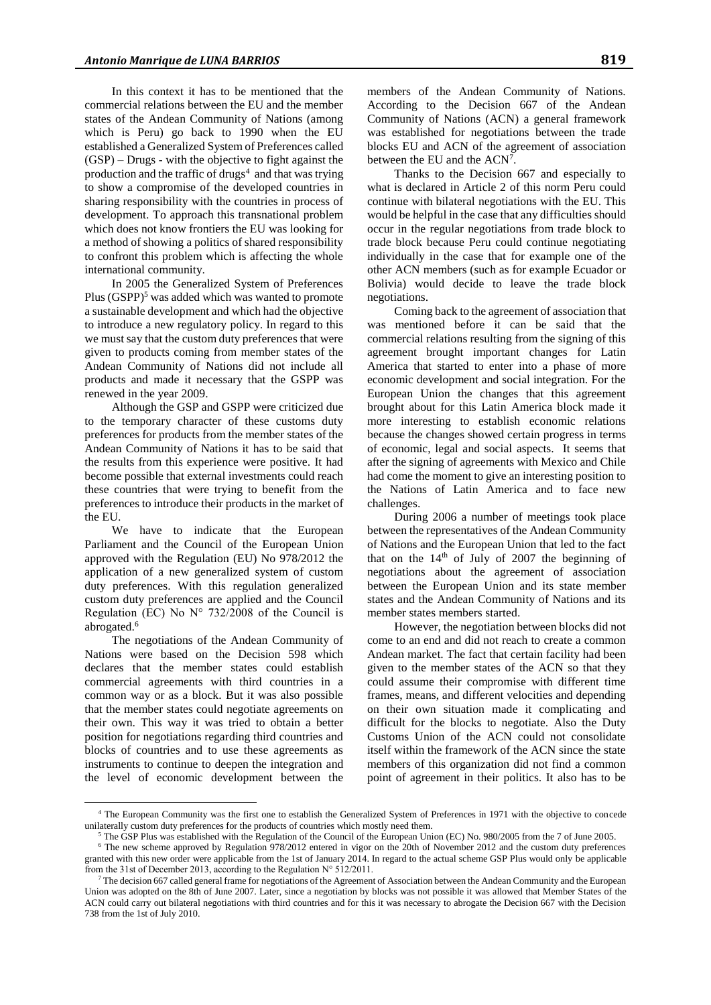In this context it has to be mentioned that the commercial relations between the EU and the member states of the Andean Community of Nations (among which is Peru) go back to 1990 when the EU established a Generalized System of Preferences called (GSP) – Drugs - with the objective to fight against the production and the traffic of drugs<sup>4</sup> and that was trying to show a compromise of the developed countries in sharing responsibility with the countries in process of development. To approach this transnational problem which does not know frontiers the EU was looking for a method of showing a politics of shared responsibility to confront this problem which is affecting the whole international community.

In 2005 the Generalized System of Preferences Plus  $(GSPP)^5$  was added which was wanted to promote a sustainable development and which had the objective to introduce a new regulatory policy. In regard to this we must say that the custom duty preferences that were given to products coming from member states of the Andean Community of Nations did not include all products and made it necessary that the GSPP was renewed in the year 2009.

Although the GSP and GSPP were criticized due to the temporary character of these customs duty preferences for products from the member states of the Andean Community of Nations it has to be said that the results from this experience were positive. It had become possible that external investments could reach these countries that were trying to benefit from the preferences to introduce their products in the market of the EU.

We have to indicate that the European Parliament and the Council of the European Union approved with the Regulation (EU) No 978/2012 the application of a new generalized system of custom duty preferences. With this regulation generalized custom duty preferences are applied and the Council Regulation (EC) No  $N^{\circ}$  732/2008 of the Council is abrogated.<sup>6</sup>

The negotiations of the Andean Community of Nations were based on the Decision 598 which declares that the member states could establish commercial agreements with third countries in a common way or as a block. But it was also possible that the member states could negotiate agreements on their own. This way it was tried to obtain a better position for negotiations regarding third countries and blocks of countries and to use these agreements as instruments to continue to deepen the integration and the level of economic development between the

 $\overline{a}$ 

members of the Andean Community of Nations. According to the Decision 667 of the Andean Community of Nations (ACN) a general framework was established for negotiations between the trade blocks EU and ACN of the agreement of association between the EU and the ACN<sup>7</sup>.

Thanks to the Decision 667 and especially to what is declared in Article 2 of this norm Peru could continue with bilateral negotiations with the EU. This would be helpful in the case that any difficulties should occur in the regular negotiations from trade block to trade block because Peru could continue negotiating individually in the case that for example one of the other ACN members (such as for example Ecuador or Bolivia) would decide to leave the trade block negotiations.

Coming back to the agreement of association that was mentioned before it can be said that the commercial relations resulting from the signing of this agreement brought important changes for Latin America that started to enter into a phase of more economic development and social integration. For the European Union the changes that this agreement brought about for this Latin America block made it more interesting to establish economic relations because the changes showed certain progress in terms of economic, legal and social aspects. It seems that after the signing of agreements with Mexico and Chile had come the moment to give an interesting position to the Nations of Latin America and to face new challenges.

During 2006 a number of meetings took place between the representatives of the Andean Community of Nations and the European Union that led to the fact that on the  $14<sup>th</sup>$  of July of 2007 the beginning of negotiations about the agreement of association between the European Union and its state member states and the Andean Community of Nations and its member states members started.

However, the negotiation between blocks did not come to an end and did not reach to create a common Andean market. The fact that certain facility had been given to the member states of the ACN so that they could assume their compromise with different time frames, means, and different velocities and depending on their own situation made it complicating and difficult for the blocks to negotiate. Also the Duty Customs Union of the ACN could not consolidate itself within the framework of the ACN since the state members of this organization did not find a common point of agreement in their politics. It also has to be

<sup>4</sup> The European Community was the first one to establish the Generalized System of Preferences in 1971 with the objective to concede unilaterally custom duty preferences for the products of countries which mostly need them.

<sup>5</sup> The GSP Plus was established with the Regulation of the Council of the European Union (EC) No. 980/2005 from the 7 of June 2005.

<sup>&</sup>lt;sup>6</sup> The new scheme approved by Regulation 978/2012 entered in vigor on the 20th of November 2012 and the custom duty preferences granted with this new order were applicable from the 1st of January 2014. In regard to the actual scheme GSP Plus would only be applicable from the 31st of December 2013, according to the Regulation N° 512/2011.

<sup>7</sup> The decision 667 called general frame for negotiations of the Agreement of Association between the Andean Community and the European Union was adopted on the 8th of June 2007. Later, since a negotiation by blocks was not possible it was allowed that Member States of the ACN could carry out bilateral negotiations with third countries and for this it was necessary to abrogate the Decision 667 with the Decision 738 from the 1st of July 2010.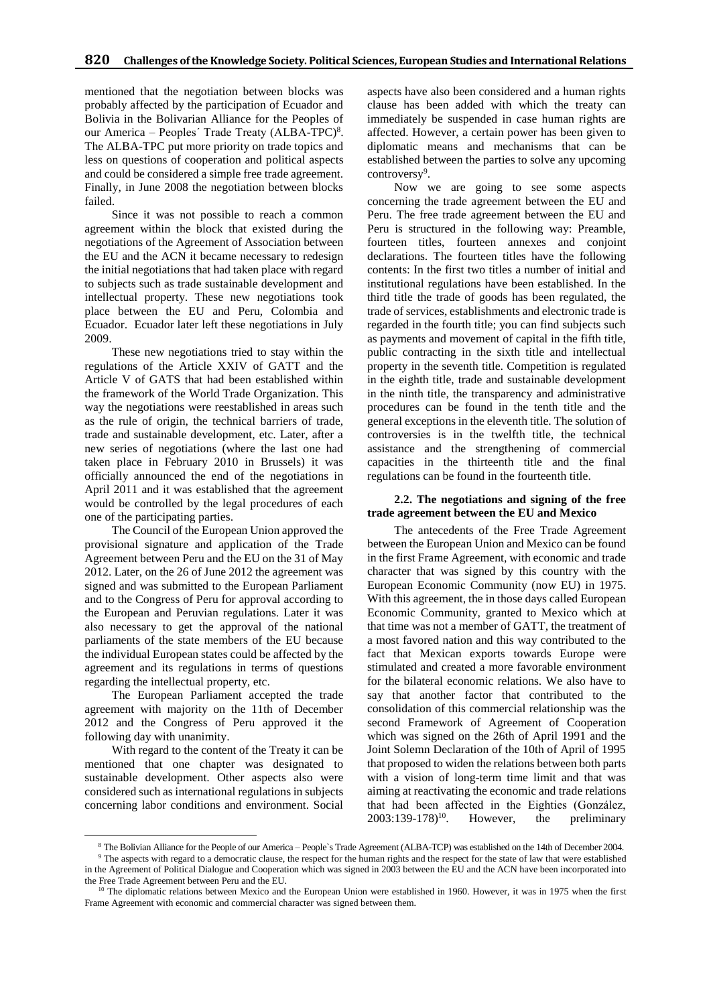mentioned that the negotiation between blocks was probably affected by the participation of Ecuador and Bolivia in the Bolivarian Alliance for the Peoples of our America – Peoples' Trade Treaty (ALBA-TPC)<sup>8</sup>. The ALBA-TPC put more priority on trade topics and less on questions of cooperation and political aspects and could be considered a simple free trade agreement. Finally, in June 2008 the negotiation between blocks failed.

Since it was not possible to reach a common agreement within the block that existed during the negotiations of the Agreement of Association between the EU and the ACN it became necessary to redesign the initial negotiations that had taken place with regard to subjects such as trade sustainable development and intellectual property. These new negotiations took place between the EU and Peru, Colombia and Ecuador. Ecuador later left these negotiations in July 2009.

These new negotiations tried to stay within the regulations of the Article XXIV of GATT and the Article V of GATS that had been established within the framework of the World Trade Organization. This way the negotiations were reestablished in areas such as the rule of origin, the technical barriers of trade, trade and sustainable development, etc. Later, after a new series of negotiations (where the last one had taken place in February 2010 in Brussels) it was officially announced the end of the negotiations in April 2011 and it was established that the agreement would be controlled by the legal procedures of each one of the participating parties.

The Council of the European Union approved the provisional signature and application of the Trade Agreement between Peru and the EU on the 31 of May 2012. Later, on the 26 of June 2012 the agreement was signed and was submitted to the European Parliament and to the Congress of Peru for approval according to the European and Peruvian regulations. Later it was also necessary to get the approval of the national parliaments of the state members of the EU because the individual European states could be affected by the agreement and its regulations in terms of questions regarding the intellectual property, etc.

The European Parliament accepted the trade agreement with majority on the 11th of December 2012 and the Congress of Peru approved it the following day with unanimity.

With regard to the content of the Treaty it can be mentioned that one chapter was designated to sustainable development. Other aspects also were considered such as international regulations in subjects concerning labor conditions and environment. Social

 $\overline{a}$ 

aspects have also been considered and a human rights clause has been added with which the treaty can immediately be suspended in case human rights are affected. However, a certain power has been given to diplomatic means and mechanisms that can be established between the parties to solve any upcoming controversy<sup>9</sup>.

Now we are going to see some aspects concerning the trade agreement between the EU and Peru. The free trade agreement between the EU and Peru is structured in the following way: Preamble, fourteen titles, fourteen annexes and conjoint declarations. The fourteen titles have the following contents: In the first two titles a number of initial and institutional regulations have been established. In the third title the trade of goods has been regulated, the trade of services, establishments and electronic trade is regarded in the fourth title; you can find subjects such as payments and movement of capital in the fifth title, public contracting in the sixth title and intellectual property in the seventh title. Competition is regulated in the eighth title, trade and sustainable development in the ninth title, the transparency and administrative procedures can be found in the tenth title and the general exceptions in the eleventh title. The solution of controversies is in the twelfth title, the technical assistance and the strengthening of commercial capacities in the thirteenth title and the final regulations can be found in the fourteenth title.

#### **2.2. The negotiations and signing of the free trade agreement between the EU and Mexico**

The antecedents of the Free Trade Agreement between the European Union and Mexico can be found in the first Frame Agreement, with economic and trade character that was signed by this country with the European Economic Community (now EU) in 1975. With this agreement, the in those days called European Economic Community, granted to Mexico which at that time was not a member of GATT, the treatment of a most favored nation and this way contributed to the fact that Mexican exports towards Europe were stimulated and created a more favorable environment for the bilateral economic relations. We also have to say that another factor that contributed to the consolidation of this commercial relationship was the second Framework of Agreement of Cooperation which was signed on the 26th of April 1991 and the Joint Solemn Declaration of the 10th of April of 1995 that proposed to widen the relations between both parts with a vision of long-term time limit and that was aiming at reactivating the economic and trade relations that had been affected in the Eighties (González, 2003:139-178)<sup>10</sup>. However, the preliminary  $2003:139-178$ <sup>10</sup>. However, the preliminary

<sup>9</sup> The aspects with regard to a democratic clause, the respect for the human rights and the respect for the state of law that were established in the Agreement of Political Dialogue and Cooperation which was signed in 2003 between the EU and the ACN have been incorporated into the Free Trade Agreement between Peru and the EU.

<sup>8</sup> The Bolivian Alliance for the People of our America – People`s Trade Agreement (ALBA-TCP) was established on the 14th of December 2004.

 $10$  The diplomatic relations between Mexico and the European Union were established in 1960. However, it was in 1975 when the first Frame Agreement with economic and commercial character was signed between them.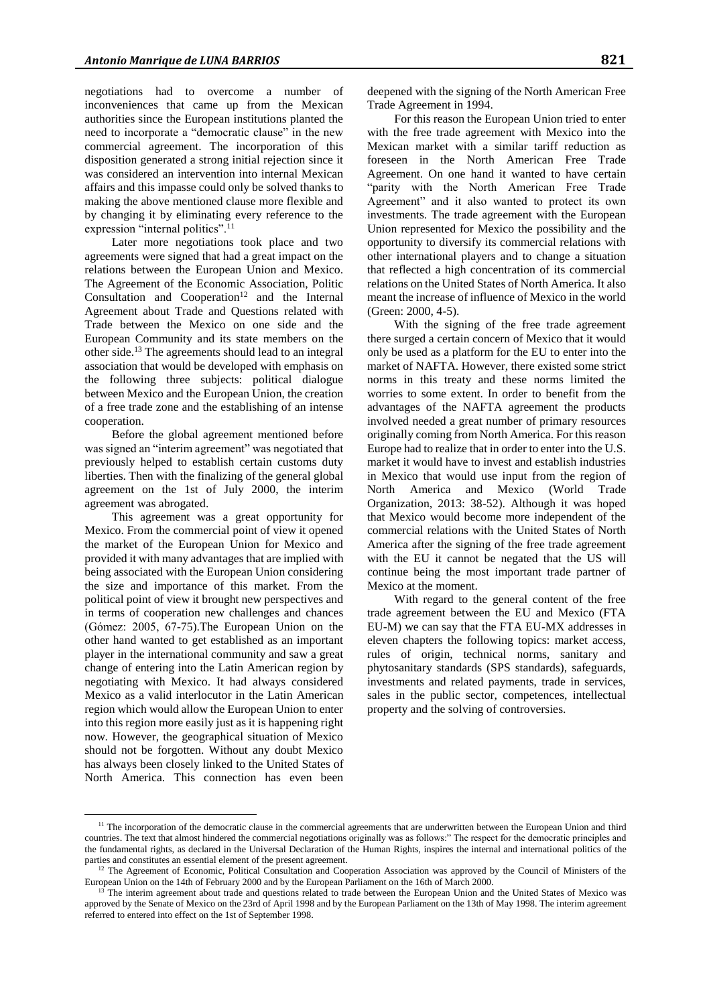negotiations had to overcome a number of inconveniences that came up from the Mexican authorities since the European institutions planted the need to incorporate a "democratic clause" in the new commercial agreement. The incorporation of this disposition generated a strong initial rejection since it was considered an intervention into internal Mexican affairs and this impasse could only be solved thanks to making the above mentioned clause more flexible and by changing it by eliminating every reference to the expression "internal politics".<sup>11</sup>

Later more negotiations took place and two agreements were signed that had a great impact on the relations between the European Union and Mexico. The Agreement of the Economic Association, Politic Consultation and Cooperation<sup>12</sup> and the Internal Agreement about Trade and Questions related with Trade between the Mexico on one side and the European Community and its state members on the other side.<sup>13</sup> The agreements should lead to an integral association that would be developed with emphasis on the following three subjects: political dialogue between Mexico and the European Union, the creation of a free trade zone and the establishing of an intense cooperation.

Before the global agreement mentioned before was signed an "interim agreement" was negotiated that previously helped to establish certain customs duty liberties. Then with the finalizing of the general global agreement on the 1st of July 2000, the interim agreement was abrogated.

This agreement was a great opportunity for Mexico. From the commercial point of view it opened the market of the European Union for Mexico and provided it with many advantages that are implied with being associated with the European Union considering the size and importance of this market. From the political point of view it brought new perspectives and in terms of cooperation new challenges and chances (Gómez: 2005, 67-75).The European Union on the other hand wanted to get established as an important player in the international community and saw a great change of entering into the Latin American region by negotiating with Mexico. It had always considered Mexico as a valid interlocutor in the Latin American region which would allow the European Union to enter into this region more easily just as it is happening right now. However, the geographical situation of Mexico should not be forgotten. Without any doubt Mexico has always been closely linked to the United States of North America. This connection has even been

 $\overline{a}$ 

deepened with the signing of the North American Free Trade Agreement in 1994.

For this reason the European Union tried to enter with the free trade agreement with Mexico into the Mexican market with a similar tariff reduction as foreseen in the North American Free Trade Agreement. On one hand it wanted to have certain "parity with the North American Free Trade Agreement" and it also wanted to protect its own investments. The trade agreement with the European Union represented for Mexico the possibility and the opportunity to diversify its commercial relations with other international players and to change a situation that reflected a high concentration of its commercial relations on the United States of North America. It also meant the increase of influence of Mexico in the world (Green: 2000, 4-5).

With the signing of the free trade agreement there surged a certain concern of Mexico that it would only be used as a platform for the EU to enter into the market of NAFTA. However, there existed some strict norms in this treaty and these norms limited the worries to some extent. In order to benefit from the advantages of the NAFTA agreement the products involved needed a great number of primary resources originally coming from North America. For this reason Europe had to realize that in order to enter into the U.S. market it would have to invest and establish industries in Mexico that would use input from the region of North America and Mexico (World Trade Organization, 2013: 38-52). Although it was hoped that Mexico would become more independent of the commercial relations with the United States of North America after the signing of the free trade agreement with the EU it cannot be negated that the US will continue being the most important trade partner of Mexico at the moment.

With regard to the general content of the free trade agreement between the EU and Mexico (FTA EU-M) we can say that the FTA EU-MX addresses in eleven chapters the following topics: market access, rules of origin, technical norms, sanitary and phytosanitary standards (SPS standards), safeguards, investments and related payments, trade in services, sales in the public sector, competences, intellectual property and the solving of controversies.

<sup>&</sup>lt;sup>11</sup> The incorporation of the democratic clause in the commercial agreements that are underwritten between the European Union and third countries. The text that almost hindered the commercial negotiations originally was as follows:" The respect for the democratic principles and the fundamental rights, as declared in the Universal Declaration of the Human Rights, inspires the internal and international politics of the parties and constitutes an essential element of the present agreement.

 $12$  The Agreement of Economic, Political Consultation and Cooperation Association was approved by the Council of Ministers of the European Union on the 14th of February 2000 and by the European Parliament on the 16th of March 2000.

<sup>13</sup> The interim agreement about trade and questions related to trade between the European Union and the United States of Mexico was approved by the Senate of Mexico on the 23rd of April 1998 and by the European Parliament on the 13th of May 1998. The interim agreement referred to entered into effect on the 1st of September 1998.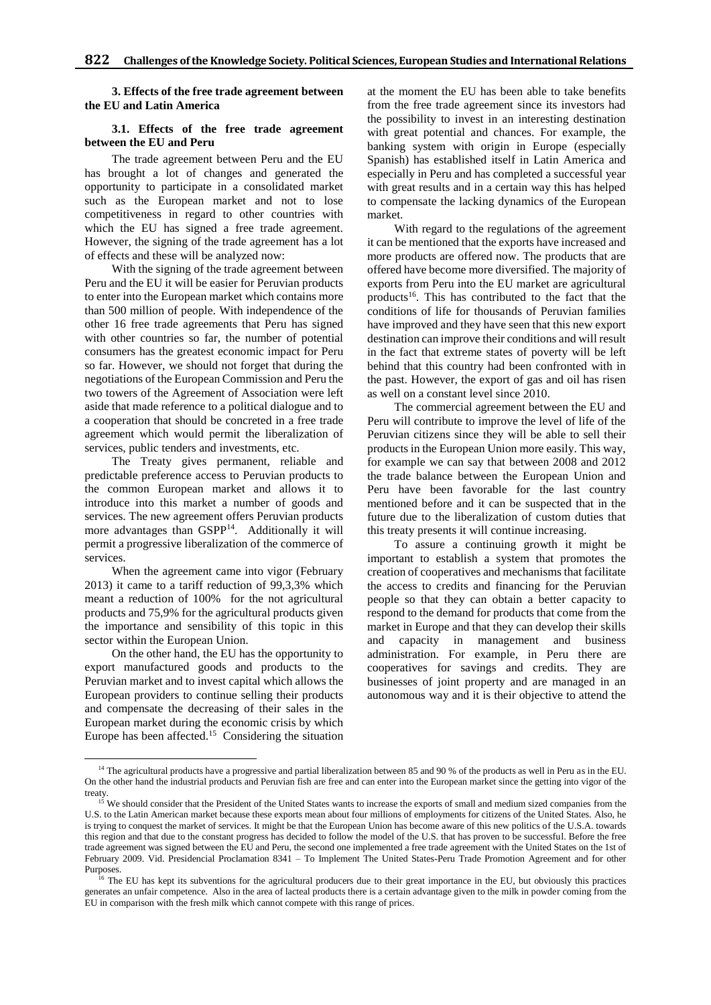**3. Effects of the free trade agreement between the EU and Latin America** 

#### **3.1. Effects of the free trade agreement between the EU and Peru**

The trade agreement between Peru and the EU has brought a lot of changes and generated the opportunity to participate in a consolidated market such as the European market and not to lose competitiveness in regard to other countries with which the EU has signed a free trade agreement. However, the signing of the trade agreement has a lot of effects and these will be analyzed now:

With the signing of the trade agreement between Peru and the EU it will be easier for Peruvian products to enter into the European market which contains more than 500 million of people. With independence of the other 16 free trade agreements that Peru has signed with other countries so far, the number of potential consumers has the greatest economic impact for Peru so far. However, we should not forget that during the negotiations of the European Commission and Peru the two towers of the Agreement of Association were left aside that made reference to a political dialogue and to a cooperation that should be concreted in a free trade agreement which would permit the liberalization of services, public tenders and investments, etc.

The Treaty gives permanent, reliable and predictable preference access to Peruvian products to the common European market and allows it to introduce into this market a number of goods and services. The new agreement offers Peruvian products more advantages than GSPP<sup>14</sup>. Additionally it will permit a progressive liberalization of the commerce of services.

When the agreement came into vigor (February 2013) it came to a tariff reduction of 99,3,3% which meant a reduction of 100% for the not agricultural products and 75,9% for the agricultural products given the importance and sensibility of this topic in this sector within the European Union.

On the other hand, the EU has the opportunity to export manufactured goods and products to the Peruvian market and to invest capital which allows the European providers to continue selling their products and compensate the decreasing of their sales in the European market during the economic crisis by which Europe has been affected.<sup>15</sup> Considering the situation

 $\overline{a}$ 

at the moment the EU has been able to take benefits from the free trade agreement since its investors had the possibility to invest in an interesting destination with great potential and chances. For example, the banking system with origin in Europe (especially Spanish) has established itself in Latin America and especially in Peru and has completed a successful year with great results and in a certain way this has helped to compensate the lacking dynamics of the European market.

With regard to the regulations of the agreement it can be mentioned that the exports have increased and more products are offered now. The products that are offered have become more diversified. The majority of exports from Peru into the EU market are agricultural products<sup>16</sup>. This has contributed to the fact that the conditions of life for thousands of Peruvian families have improved and they have seen that this new export destination can improve their conditions and will result in the fact that extreme states of poverty will be left behind that this country had been confronted with in the past. However, the export of gas and oil has risen as well on a constant level since 2010.

The commercial agreement between the EU and Peru will contribute to improve the level of life of the Peruvian citizens since they will be able to sell their products in the European Union more easily. This way, for example we can say that between 2008 and 2012 the trade balance between the European Union and Peru have been favorable for the last country mentioned before and it can be suspected that in the future due to the liberalization of custom duties that this treaty presents it will continue increasing.

To assure a continuing growth it might be important to establish a system that promotes the creation of cooperatives and mechanisms that facilitate the access to credits and financing for the Peruvian people so that they can obtain a better capacity to respond to the demand for products that come from the market in Europe and that they can develop their skills and capacity in management and business administration. For example, in Peru there are cooperatives for savings and credits. They are businesses of joint property and are managed in an autonomous way and it is their objective to attend the

<sup>&</sup>lt;sup>14</sup> The agricultural products have a progressive and partial liberalization between 85 and 90 % of the products as well in Peru as in the EU. On the other hand the industrial products and Peruvian fish are free and can enter into the European market since the getting into vigor of the treaty.

<sup>&</sup>lt;sup>15</sup> We should consider that the President of the United States wants to increase the exports of small and medium sized companies from the U.S. to the Latin American market because these exports mean about four millions of employments for citizens of the United States. Also, he is trying to conquest the market of services. It might be that the European Union has become aware of this new politics of the U.S.A. towards this region and that due to the constant progress has decided to follow the model of the U.S. that has proven to be successful. Before the free trade agreement was signed between the EU and Peru, the second one implemented a free trade agreement with the United States on the 1st of February 2009. Vid. Presidencial Proclamation 8341 – To Implement The United States-Peru Trade Promotion Agreement and for other Purposes.

<sup>&</sup>lt;sup>16</sup> The EU has kept its subventions for the agricultural producers due to their great importance in the EU, but obviously this practices generates an unfair competence. Also in the area of lacteal products there is a certain advantage given to the milk in powder coming from the EU in comparison with the fresh milk which cannot compete with this range of prices.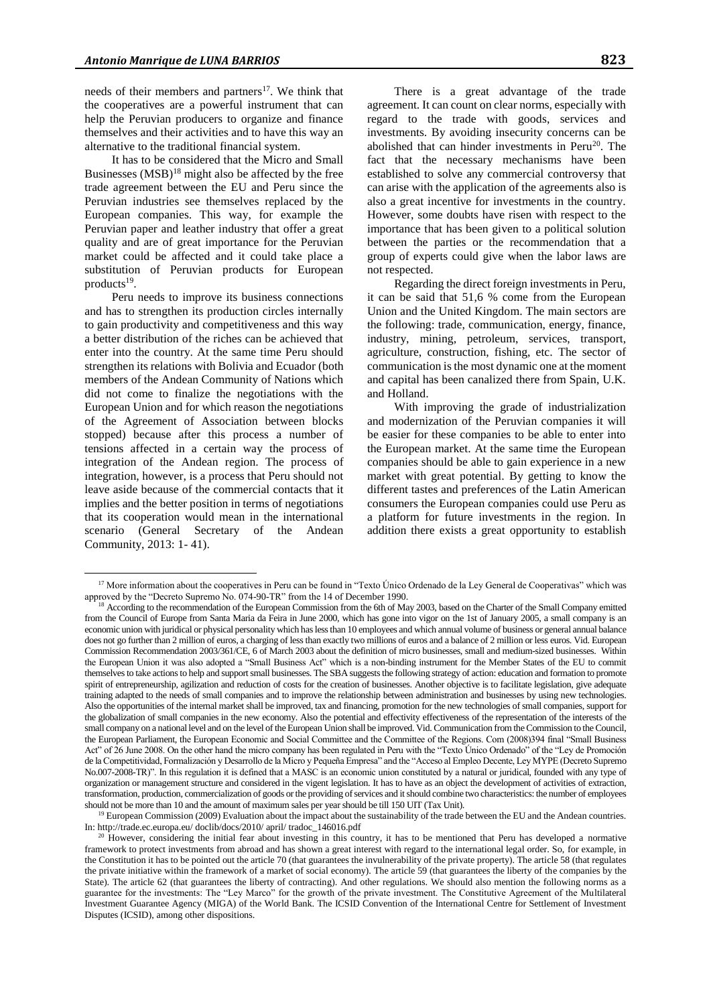needs of their members and partners<sup>17</sup>. We think that the cooperatives are a powerful instrument that can help the Peruvian producers to organize and finance themselves and their activities and to have this way an alternative to the traditional financial system.

It has to be considered that the Micro and Small Businesses  $(MSB)^{18}$  might also be affected by the free trade agreement between the EU and Peru since the Peruvian industries see themselves replaced by the European companies. This way, for example the Peruvian paper and leather industry that offer a great quality and are of great importance for the Peruvian market could be affected and it could take place a substitution of Peruvian products for European products<sup>19</sup>.

Peru needs to improve its business connections and has to strengthen its production circles internally to gain productivity and competitiveness and this way a better distribution of the riches can be achieved that enter into the country. At the same time Peru should strengthen its relations with Bolivia and Ecuador (both members of the Andean Community of Nations which did not come to finalize the negotiations with the European Union and for which reason the negotiations of the Agreement of Association between blocks stopped) because after this process a number of tensions affected in a certain way the process of integration of the Andean region. The process of integration, however, is a process that Peru should not leave aside because of the commercial contacts that it implies and the better position in terms of negotiations that its cooperation would mean in the international scenario (General Secretary of the Andean Community, 2013: 1- 41).

 $\overline{a}$ 

There is a great advantage of the trade agreement. It can count on clear norms, especially with regard to the trade with goods, services and investments. By avoiding insecurity concerns can be abolished that can hinder investments in Peru<sup>20</sup>. The fact that the necessary mechanisms have been established to solve any commercial controversy that can arise with the application of the agreements also is also a great incentive for investments in the country. However, some doubts have risen with respect to the importance that has been given to a political solution between the parties or the recommendation that a group of experts could give when the labor laws are not respected.

Regarding the direct foreign investments in Peru, it can be said that 51,6 % come from the European Union and the United Kingdom. The main sectors are the following: trade, communication, energy, finance, industry, mining, petroleum, services, transport, agriculture, construction, fishing, etc. The sector of communication is the most dynamic one at the moment and capital has been canalized there from Spain, U.K. and Holland.

With improving the grade of industrialization and modernization of the Peruvian companies it will be easier for these companies to be able to enter into the European market. At the same time the European companies should be able to gain experience in a new market with great potential. By getting to know the different tastes and preferences of the Latin American consumers the European companies could use Peru as a platform for future investments in the region. In addition there exists a great opportunity to establish

<sup>19</sup> European Commission (2009) Evaluation about the impact about the sustainability of the trade between the EU and the Andean countries. In: http://trade.ec.europa.eu/ doclib/docs/2010/ april/ tradoc\_146016.pdf

<sup>&</sup>lt;sup>17</sup> More information about the cooperatives in Peru can be found in "Texto Único Ordenado de la Ley General de Cooperativas" which was approved by the "Decreto Supremo No. 074-90-TR" from the 14 of December 1990.

<sup>&</sup>lt;sup>18</sup> According to the recommendation of the European Commission from the 6th of May 2003, based on the Charter of the Small Company emitted from the Council of Europe from Santa Maria da Feira in June 2000, which has gone into vigor on the 1st of January 2005, a small company is an economic union with juridical or physical personality which has less than 10 employees and which annual volume of business or general annual balance does not go further than 2 million of euros, a charging of less than exactly two millions of euros and a balance of 2 million or less euros. Vid. European Commission Recommendation 2003/361/CE, 6 of March 2003 about the definition of micro businesses, small and medium-sized businesses. Within the European Union it was also adopted a "Small Business Act" which is a non-binding instrument for the Member States of the EU to commit themselves to take actions to help and support small businesses. The SBA suggests the following strategy of action: education and formation to promote spirit of entrepreneurship, agilization and reduction of costs for the creation of businesses. Another objective is to facilitate legislation, give adequate training adapted to the needs of small companies and to improve the relationship between administration and businesses by using new technologies. Also the opportunities of the internal market shall be improved, tax and financing, promotion for the new technologies of small companies, support for the globalization of small companies in the new economy. Also the potential and effectivity effectiveness of the representation of the interests of the small company on a national level and on the level of the European Union shall be improved. Vid. Communication from the Commission to the Council, the European Parliament, the European Economic and Social Committee and the Committee of the Regions. Com (2008)394 final "Small Business Act" of 26 June 2008. On the other hand the micro company has been regulated in Peru with the "Texto Único Ordenado" of the "Ley de Promoción de la Competitividad, Formalización y Desarrollo de la Micro y Pequeña Empresa" and the "Acceso al Empleo Decente, Ley MYPE (Decreto Supremo No.007-2008-TR)". In this regulation it is defined that a MASC is an economic union constituted by a natural or juridical, founded with any type of organization or management structure and considered in the vigent legislation. It has to have as an object the development of activities of extraction, transformation, production, commercialization of goods or the providing of services and it should combine two characteristics: the number of employees should not be more than 10 and the amount of maximum sales per year should be till 150 UIT (Tax Unit).

<sup>20</sup> However, considering the initial fear about investing in this country, it has to be mentioned that Peru has developed a normative framework to protect investments from abroad and has shown a great interest with regard to the international legal order. So, for example, in the Constitution it has to be pointed out the article 70 (that guarantees the invulnerability of the private property). The article 58 (that regulates the private initiative within the framework of a market of social economy). The article 59 (that guarantees the liberty of the companies by the State). The article 62 (that guarantees the liberty of contracting). And other regulations. We should also mention the following norms as a guarantee for the investments: The "Ley Marco" for the growth of the private investment. The Constitutive Agreement of the Multilateral Investment Guarantee Agency (MIGA) of the World Bank. The ICSID Convention of the International Centre for Settlement of Investment Disputes (ICSID), among other dispositions.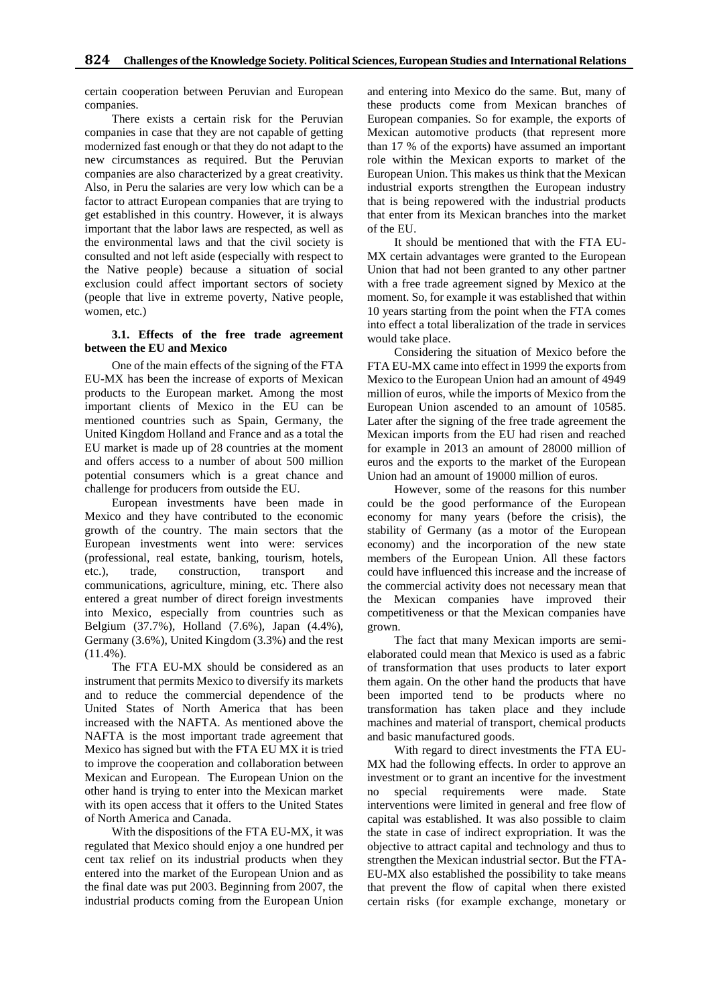certain cooperation between Peruvian and European companies.

There exists a certain risk for the Peruvian companies in case that they are not capable of getting modernized fast enough or that they do not adapt to the new circumstances as required. But the Peruvian companies are also characterized by a great creativity. Also, in Peru the salaries are very low which can be a factor to attract European companies that are trying to get established in this country. However, it is always important that the labor laws are respected, as well as the environmental laws and that the civil society is consulted and not left aside (especially with respect to the Native people) because a situation of social exclusion could affect important sectors of society (people that live in extreme poverty, Native people, women, etc.)

# **3.1. Effects of the free trade agreement between the EU and Mexico**

One of the main effects of the signing of the FTA EU-MX has been the increase of exports of Mexican products to the European market. Among the most important clients of Mexico in the EU can be mentioned countries such as Spain, Germany, the United Kingdom Holland and France and as a total the EU market is made up of 28 countries at the moment and offers access to a number of about 500 million potential consumers which is a great chance and challenge for producers from outside the EU.

European investments have been made in Mexico and they have contributed to the economic growth of the country. The main sectors that the European investments went into were: services (professional, real estate, banking, tourism, hotels, etc.), trade, construction, transport and communications, agriculture, mining, etc. There also entered a great number of direct foreign investments into Mexico, especially from countries such as Belgium (37.7%), Holland (7.6%), Japan (4.4%), Germany (3.6%), United Kingdom (3.3%) and the rest  $(11.4\%)$ .

The FTA EU-MX should be considered as an instrument that permits Mexico to diversify its markets and to reduce the commercial dependence of the United States of North America that has been increased with the NAFTA. As mentioned above the NAFTA is the most important trade agreement that Mexico has signed but with the FTA EU MX it is tried to improve the cooperation and collaboration between Mexican and European. The European Union on the other hand is trying to enter into the Mexican market with its open access that it offers to the United States of North America and Canada.

With the dispositions of the FTA EU-MX, it was regulated that Mexico should enjoy a one hundred per cent tax relief on its industrial products when they entered into the market of the European Union and as the final date was put 2003. Beginning from 2007, the industrial products coming from the European Union and entering into Mexico do the same. But, many of these products come from Mexican branches of European companies. So for example, the exports of Mexican automotive products (that represent more than 17 % of the exports) have assumed an important role within the Mexican exports to market of the European Union. This makes us think that the Mexican industrial exports strengthen the European industry that is being repowered with the industrial products that enter from its Mexican branches into the market of the EU.

It should be mentioned that with the FTA EU-MX certain advantages were granted to the European Union that had not been granted to any other partner with a free trade agreement signed by Mexico at the moment. So, for example it was established that within 10 years starting from the point when the FTA comes into effect a total liberalization of the trade in services would take place.

Considering the situation of Mexico before the FTA EU-MX came into effect in 1999 the exports from Mexico to the European Union had an amount of 4949 million of euros, while the imports of Mexico from the European Union ascended to an amount of 10585. Later after the signing of the free trade agreement the Mexican imports from the EU had risen and reached for example in 2013 an amount of 28000 million of euros and the exports to the market of the European Union had an amount of 19000 million of euros.

However, some of the reasons for this number could be the good performance of the European economy for many years (before the crisis), the stability of Germany (as a motor of the European economy) and the incorporation of the new state members of the European Union. All these factors could have influenced this increase and the increase of the commercial activity does not necessary mean that the Mexican companies have improved their competitiveness or that the Mexican companies have grown.

The fact that many Mexican imports are semielaborated could mean that Mexico is used as a fabric of transformation that uses products to later export them again. On the other hand the products that have been imported tend to be products where no transformation has taken place and they include machines and material of transport, chemical products and basic manufactured goods.

With regard to direct investments the FTA EU-MX had the following effects. In order to approve an investment or to grant an incentive for the investment no special requirements were made. State interventions were limited in general and free flow of capital was established. It was also possible to claim the state in case of indirect expropriation. It was the objective to attract capital and technology and thus to strengthen the Mexican industrial sector. But the FTA-EU-MX also established the possibility to take means that prevent the flow of capital when there existed certain risks (for example exchange, monetary or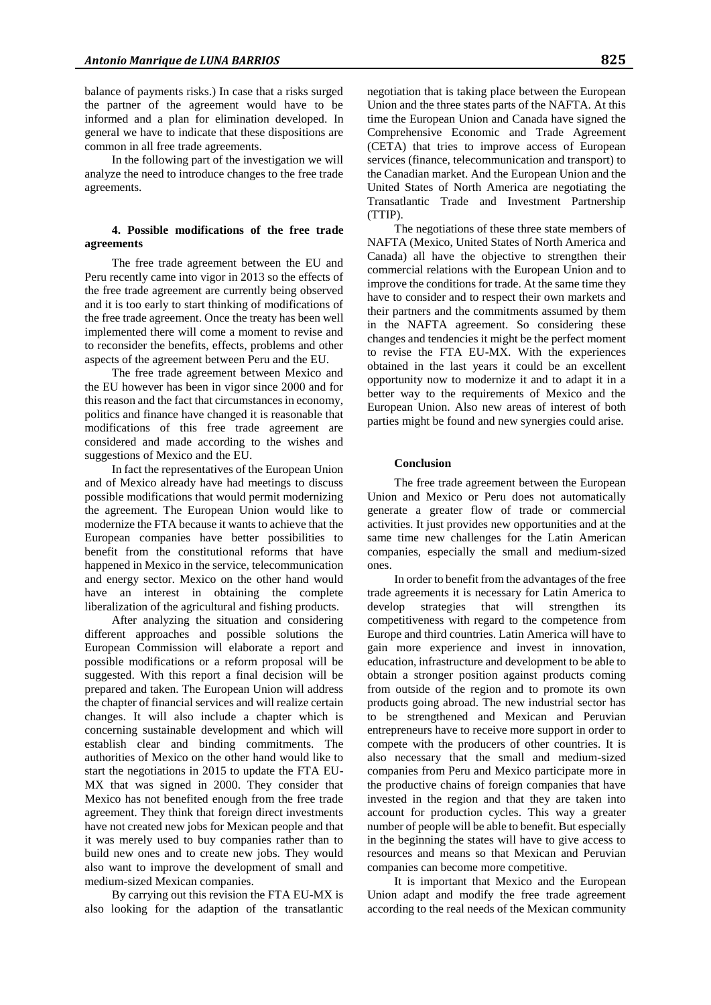balance of payments risks.) In case that a risks surged the partner of the agreement would have to be informed and a plan for elimination developed. In general we have to indicate that these dispositions are common in all free trade agreements.

In the following part of the investigation we will analyze the need to introduce changes to the free trade agreements.

#### **4. Possible modifications of the free trade agreements**

The free trade agreement between the EU and Peru recently came into vigor in 2013 so the effects of the free trade agreement are currently being observed and it is too early to start thinking of modifications of the free trade agreement. Once the treaty has been well implemented there will come a moment to revise and to reconsider the benefits, effects, problems and other aspects of the agreement between Peru and the EU.

The free trade agreement between Mexico and the EU however has been in vigor since 2000 and for this reason and the fact that circumstances in economy, politics and finance have changed it is reasonable that modifications of this free trade agreement are considered and made according to the wishes and suggestions of Mexico and the EU.

In fact the representatives of the European Union and of Mexico already have had meetings to discuss possible modifications that would permit modernizing the agreement. The European Union would like to modernize the FTA because it wants to achieve that the European companies have better possibilities to benefit from the constitutional reforms that have happened in Mexico in the service, telecommunication and energy sector. Mexico on the other hand would have an interest in obtaining the complete liberalization of the agricultural and fishing products.

After analyzing the situation and considering different approaches and possible solutions the European Commission will elaborate a report and possible modifications or a reform proposal will be suggested. With this report a final decision will be prepared and taken. The European Union will address the chapter of financial services and will realize certain changes. It will also include a chapter which is concerning sustainable development and which will establish clear and binding commitments. The authorities of Mexico on the other hand would like to start the negotiations in 2015 to update the FTA EU-MX that was signed in 2000. They consider that Mexico has not benefited enough from the free trade agreement. They think that foreign direct investments have not created new jobs for Mexican people and that it was merely used to buy companies rather than to build new ones and to create new jobs. They would also want to improve the development of small and medium-sized Mexican companies.

By carrying out this revision the FTA EU-MX is also looking for the adaption of the transatlantic

negotiation that is taking place between the European Union and the three states parts of the NAFTA. At this time the European Union and Canada have signed the Comprehensive Economic and Trade Agreement (CETA) that tries to improve access of European services (finance, telecommunication and transport) to the Canadian market. And the European Union and the United States of North America are negotiating the Transatlantic Trade and Investment Partnership (TTIP).

The negotiations of these three state members of NAFTA (Mexico, United States of North America and Canada) all have the objective to strengthen their commercial relations with the European Union and to improve the conditions for trade. At the same time they have to consider and to respect their own markets and their partners and the commitments assumed by them in the NAFTA agreement. So considering these changes and tendencies it might be the perfect moment to revise the FTA EU-MX. With the experiences obtained in the last years it could be an excellent opportunity now to modernize it and to adapt it in a better way to the requirements of Mexico and the European Union. Also new areas of interest of both parties might be found and new synergies could arise.

## **Conclusion**

The free trade agreement between the European Union and Mexico or Peru does not automatically generate a greater flow of trade or commercial activities. It just provides new opportunities and at the same time new challenges for the Latin American companies, especially the small and medium-sized ones.

In order to benefit from the advantages of the free trade agreements it is necessary for Latin America to develop strategies that will strengthen its competitiveness with regard to the competence from Europe and third countries. Latin America will have to gain more experience and invest in innovation, education, infrastructure and development to be able to obtain a stronger position against products coming from outside of the region and to promote its own products going abroad. The new industrial sector has to be strengthened and Mexican and Peruvian entrepreneurs have to receive more support in order to compete with the producers of other countries. It is also necessary that the small and medium-sized companies from Peru and Mexico participate more in the productive chains of foreign companies that have invested in the region and that they are taken into account for production cycles. This way a greater number of people will be able to benefit. But especially in the beginning the states will have to give access to resources and means so that Mexican and Peruvian companies can become more competitive.

It is important that Mexico and the European Union adapt and modify the free trade agreement according to the real needs of the Mexican community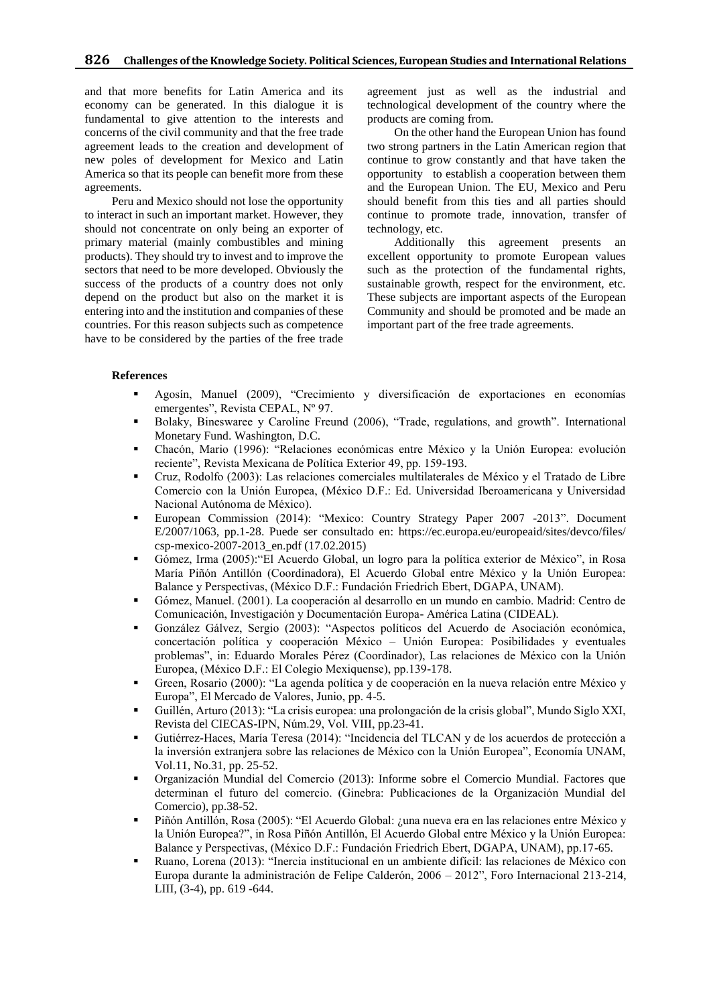and that more benefits for Latin America and its economy can be generated. In this dialogue it is fundamental to give attention to the interests and concerns of the civil community and that the free trade agreement leads to the creation and development of new poles of development for Mexico and Latin America so that its people can benefit more from these agreements.

Peru and Mexico should not lose the opportunity to interact in such an important market. However, they should not concentrate on only being an exporter of primary material (mainly combustibles and mining products). They should try to invest and to improve the sectors that need to be more developed. Obviously the success of the products of a country does not only depend on the product but also on the market it is entering into and the institution and companies of these countries. For this reason subjects such as competence have to be considered by the parties of the free trade

agreement just as well as the industrial and technological development of the country where the products are coming from.

On the other hand the European Union has found two strong partners in the Latin American region that continue to grow constantly and that have taken the opportunity to establish a cooperation between them and the European Union. The EU, Mexico and Peru should benefit from this ties and all parties should continue to promote trade, innovation, transfer of technology, etc.

Additionally this agreement presents an excellent opportunity to promote European values such as the protection of the fundamental rights, sustainable growth, respect for the environment, etc. These subjects are important aspects of the European Community and should be promoted and be made an important part of the free trade agreements.

#### **References**

- Agosín, Manuel (2009), "Crecimiento y diversificación de exportaciones en economías emergentes", Revista CEPAL, Nº 97.
- Bolaky, Bineswaree y Caroline Freund (2006), "Trade, regulations, and growth". International Monetary Fund. Washington, D.C.
- Chacón, Mario (1996): "Relaciones económicas entre México y la Unión Europea: evolución reciente", Revista Mexicana de Política Exterior 49, pp. 159-193.
- Cruz, Rodolfo (2003): Las relaciones comerciales multilaterales de México y el Tratado de Libre Comercio con la Unión Europea, (México D.F.: Ed. Universidad Iberoamericana y Universidad Nacional Autónoma de México).
- European Commission (2014): "Mexico: Country Strategy Paper 2007 -2013". Document E/2007/1063, pp.1-28. Puede ser consultado en: https://ec.europa.eu/europeaid/sites/devco/files/ csp-mexico-2007-2013\_en.pdf (17.02.2015)
- Gómez, Irma (2005):"El Acuerdo Global, un logro para la política exterior de México", in Rosa María Piñón Antillón (Coordinadora), El Acuerdo Global entre México y la Unión Europea: Balance y Perspectivas, (México D.F.: Fundación Friedrich Ebert, DGAPA, UNAM).
- Gómez, Manuel. (2001). La cooperación al desarrollo en un mundo en cambio. Madrid: Centro de Comunicación, Investigación y Documentación Europa- América Latina (CIDEAL).
- González Gálvez, Sergio (2003): "Aspectos políticos del Acuerdo de Asociación económica, concertación política y cooperación México – Unión Europea: Posibilidades y eventuales problemas", in: Eduardo Morales Pérez (Coordinador), Las relaciones de México con la Unión Europea, (México D.F.: El Colegio Mexiquense), pp.139-178.
- Green, Rosario (2000): "La agenda política y de cooperación en la nueva relación entre México y Europa", El Mercado de Valores, Junio, pp. 4-5.
- Guillén, Arturo (2013): "La crisis europea: una prolongación de la crisis global", Mundo Siglo XXI, Revista del CIECAS-IPN, Núm.29, Vol. VIII, pp.23-41.
- Gutiérrez-Haces, María Teresa (2014): "Incidencia del TLCAN y de los acuerdos de protección a la inversión extranjera sobre las relaciones de México con la Unión Europea", Economía UNAM, Vol.11, No.31, pp. 25-52.
- Organización Mundial del Comercio (2013): Informe sobre el Comercio Mundial. Factores que determinan el futuro del comercio. (Ginebra: Publicaciones de la Organización Mundial del Comercio), pp.38-52.
- Piñón Antillón, Rosa (2005): "El Acuerdo Global: ¿una nueva era en las relaciones entre México y la Unión Europea?", in Rosa Piñón Antillón, El Acuerdo Global entre México y la Unión Europea: Balance y Perspectivas, (México D.F.: Fundación Friedrich Ebert, DGAPA, UNAM), pp.17-65.
- Ruano, Lorena (2013): "Inercia institucional en un ambiente difícil: las relaciones de México con Europa durante la administración de Felipe Calderón, 2006 – 2012", Foro Internacional 213-214, LIII, (3-4), pp. 619 -644.